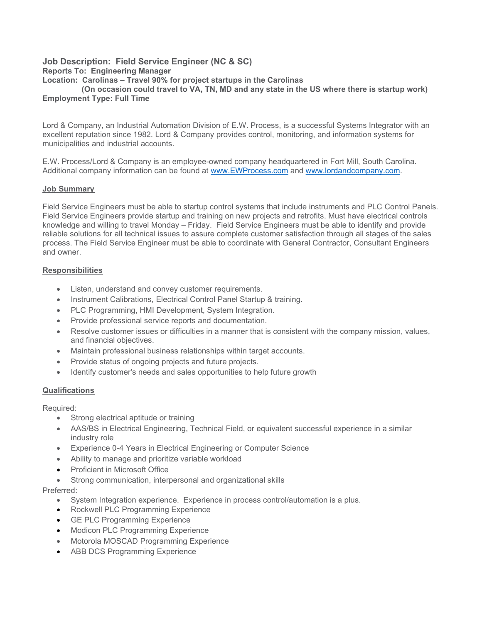### Job Description: Field Service Engineer (NC & SC) Reports To: Engineering Manager Location: Carolinas – Travel 90% for project startups in the Carolinas

 (On occasion could travel to VA, TN, MD and any state in the US where there is startup work) Employment Type: Full Time

Lord & Company, an Industrial Automation Division of E.W. Process, is a successful Systems Integrator with an excellent reputation since 1982. Lord & Company provides control, monitoring, and information systems for municipalities and industrial accounts.

E.W. Process/Lord & Company is an employee-owned company headquartered in Fort Mill, South Carolina. Additional company information can be found at www.EWProcess.com and www.lordandcompany.com.

# Job Summary

Field Service Engineers must be able to startup control systems that include instruments and PLC Control Panels. Field Service Engineers provide startup and training on new projects and retrofits. Must have electrical controls knowledge and willing to travel Monday – Friday. Field Service Engineers must be able to identify and provide reliable solutions for all technical issues to assure complete customer satisfaction through all stages of the sales process. The Field Service Engineer must be able to coordinate with General Contractor, Consultant Engineers and owner.

# Responsibilities

- Listen, understand and convey customer requirements.
- Instrument Calibrations, Electrical Control Panel Startup & training.
- PLC Programming, HMI Development, System Integration.
- Provide professional service reports and documentation.
- Resolve customer issues or difficulties in a manner that is consistent with the company mission, values, and financial objectives.
- Maintain professional business relationships within target accounts.
- Provide status of ongoing projects and future projects.
- Identify customer's needs and sales opportunities to help future growth

# **Qualifications**

Required:

- Strong electrical aptitude or training
- AAS/BS in Electrical Engineering, Technical Field, or equivalent successful experience in a similar industry role
- Experience 0-4 Years in Electrical Engineering or Computer Science
- Ability to manage and prioritize variable workload
- Proficient in Microsoft Office
- Strong communication, interpersonal and organizational skills

Preferred:

- System Integration experience. Experience in process control/automation is a plus.
- Rockwell PLC Programming Experience
- **GE PLC Programming Experience**
- Modicon PLC Programming Experience
- Motorola MOSCAD Programming Experience
- ABB DCS Programming Experience